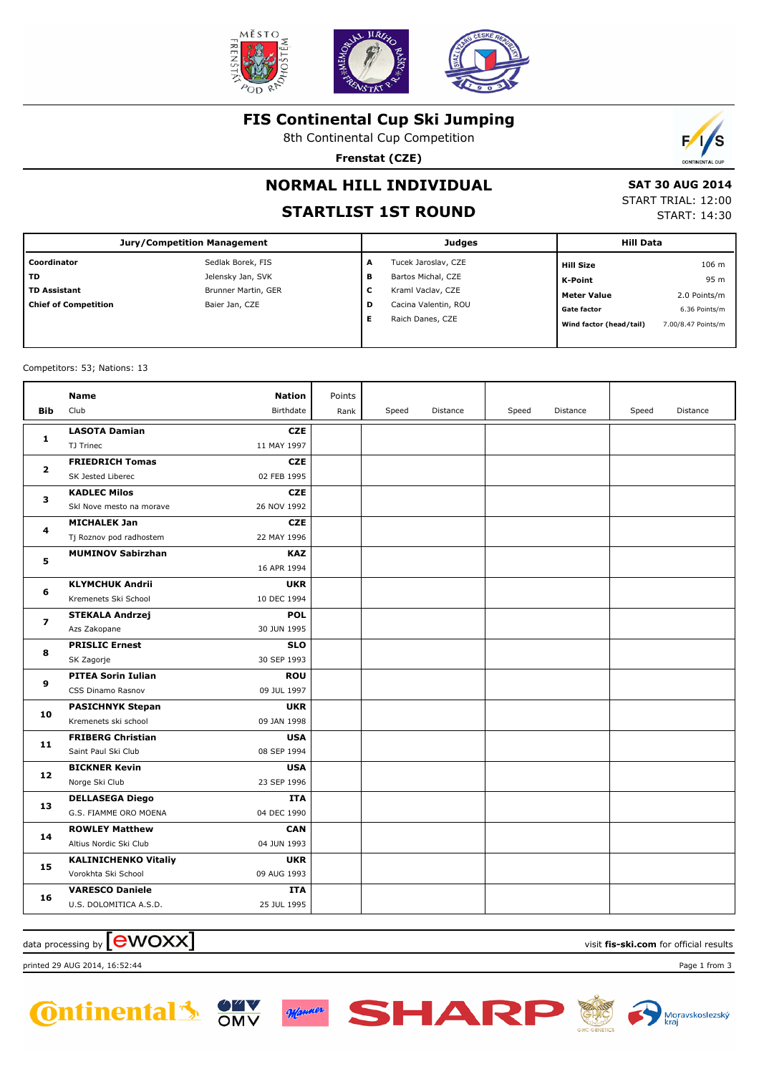

### **FIS Continental Cup Ski Jumping**

8th Continental Cup Competition

**Frenstat (CZE)**



# **NORMAL HILL INDIVIDUAL**

## **STARTLIST 1ST ROUND**

 **SAT 30 AUG 2014** START TRIAL: 12:00 START: 14:30

| <b>Jury/Competition Management</b> |                     |        | Judges               | <b>Hill Data</b>        |                    |  |
|------------------------------------|---------------------|--------|----------------------|-------------------------|--------------------|--|
| Coordinator                        | Sedlak Borek, FIS   | A      | Tucek Jaroslav, CZE  | <b>Hill Size</b>        | 106 m              |  |
| <b>TD</b>                          | Jelensky Jan, SVK   | в      | Bartos Michal, CZE   | K-Point                 | 95 m               |  |
| <b>TD Assistant</b>                | Brunner Martin, GER | ∽<br>◡ | Kraml Vaclav, CZE    | <b>Meter Value</b>      | 2.0 Points/m       |  |
| <b>Chief of Competition</b>        | Baier Jan, CZE      | D      | Cacina Valentin, ROU | <b>Gate factor</b>      | 6.36 Points/m      |  |
|                                    |                     |        | Raich Danes, CZE     | Wind factor (head/tail) | 7.00/8.47 Points/m |  |
|                                    |                     |        |                      |                         |                    |  |

Competitors: 53; Nations: 13

| <b>Name</b>                 | <b>Nation</b>  | Points |       |          |       |          |       |          |
|-----------------------------|----------------|--------|-------|----------|-------|----------|-------|----------|
| Club                        | Birthdate      | Rank   | Speed | Distance | Speed | Distance | Speed | Distance |
| <b>LASOTA Damian</b>        | <b>CZE</b>     |        |       |          |       |          |       |          |
| TJ Trinec                   | 11 MAY 1997    |        |       |          |       |          |       |          |
| <b>FRIEDRICH Tomas</b>      | <b>CZE</b>     |        |       |          |       |          |       |          |
| SK Jested Liberec           | 02 FEB 1995    |        |       |          |       |          |       |          |
| <b>KADLEC Milos</b>         | <b>CZE</b>     |        |       |          |       |          |       |          |
| Skl Nove mesto na morave    | 26 NOV 1992    |        |       |          |       |          |       |          |
| <b>MICHALEK Jan</b>         | <b>CZE</b>     |        |       |          |       |          |       |          |
| Tj Roznov pod radhostem     | 22 MAY 1996    |        |       |          |       |          |       |          |
| <b>MUMINOV Sabirzhan</b>    | <b>KAZ</b>     |        |       |          |       |          |       |          |
|                             | 16 APR 1994    |        |       |          |       |          |       |          |
| <b>KLYMCHUK Andrii</b>      | <b>UKR</b>     |        |       |          |       |          |       |          |
| Kremenets Ski School        | 10 DEC 1994    |        |       |          |       |          |       |          |
| <b>STEKALA Andrzej</b>      | <b>POL</b>     |        |       |          |       |          |       |          |
| Azs Zakopane                | 30 JUN 1995    |        |       |          |       |          |       |          |
| <b>PRISLIC Ernest</b>       | <b>SLO</b>     |        |       |          |       |          |       |          |
| SK Zagorje                  | 30 SEP 1993    |        |       |          |       |          |       |          |
| <b>PITEA Sorin Iulian</b>   | <b>ROU</b>     |        |       |          |       |          |       |          |
| CSS Dinamo Rasnov           | 09 JUL 1997    |        |       |          |       |          |       |          |
| <b>PASICHNYK Stepan</b>     | <b>UKR</b>     |        |       |          |       |          |       |          |
| Kremenets ski school        | 09 JAN 1998    |        |       |          |       |          |       |          |
| <b>FRIBERG Christian</b>    | <b>USA</b>     |        |       |          |       |          |       |          |
| Saint Paul Ski Club         | 08 SEP 1994    |        |       |          |       |          |       |          |
| <b>BICKNER Kevin</b>        | <b>USA</b>     |        |       |          |       |          |       |          |
|                             | 23 SEP 1996    |        |       |          |       |          |       |          |
| <b>DELLASEGA Diego</b>      | <b>ITA</b>     |        |       |          |       |          |       |          |
| G.S. FIAMME ORO MOENA       | 04 DEC 1990    |        |       |          |       |          |       |          |
| <b>ROWLEY Matthew</b>       | <b>CAN</b>     |        |       |          |       |          |       |          |
| Altius Nordic Ski Club      | 04 JUN 1993    |        |       |          |       |          |       |          |
| <b>KALINICHENKO Vitaliy</b> | <b>UKR</b>     |        |       |          |       |          |       |          |
| Vorokhta Ski School         | 09 AUG 1993    |        |       |          |       |          |       |          |
| <b>VARESCO Daniele</b>      | <b>ITA</b>     |        |       |          |       |          |       |          |
| U.S. DOLOMITICA A.S.D.      | 25 JUL 1995    |        |       |          |       |          |       |          |
|                             | Norge Ski Club |        |       |          |       |          |       |          |

data processing by **CWOXX** and  $\blacksquare$  and  $\blacksquare$  and  $\blacksquare$  and  $\blacksquare$  and  $\blacksquare$  and  $\blacksquare$  and  $\blacksquare$  and  $\blacksquare$  and  $\blacksquare$  and  $\blacksquare$  and  $\blacksquare$  and  $\blacksquare$  and  $\blacksquare$  and  $\blacksquare$  and  $\blacksquare$  and  $\blacksquare$  and  $\blacksquare$  and  $\blacks$ 

printed 29 AUG 2014, 16:52:44 Page 1 from 3







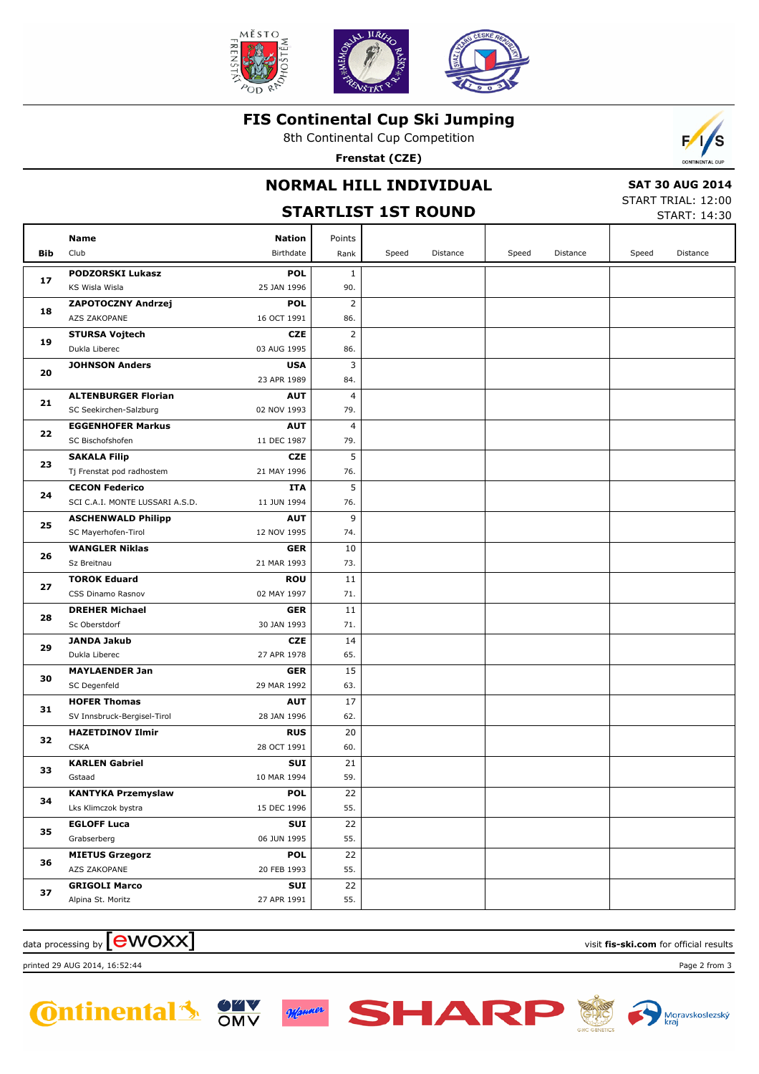

### **FIS Continental Cup Ski Jumping**

8th Continental Cup Competition

**Frenstat (CZE)**



# **STARTLIST 1ST ROUND**

 **SAT 30 AUG 2014** START TRIAL: 12:00

|            |                                          | SIAKILISI ISI KUUND       |                |       |          |       |          |       |                     |  |
|------------|------------------------------------------|---------------------------|----------------|-------|----------|-------|----------|-------|---------------------|--|
|            | <b>Name</b>                              | <b>Nation</b>             | Points         |       |          |       |          |       |                     |  |
| <b>Bib</b> | Club                                     | Birthdate                 | Rank           | Speed | Distance | Speed | Distance | Speed | Distance            |  |
|            | <b>PODZORSKI Lukasz</b>                  | <b>POL</b>                | $\mathbf{1}$   |       |          |       |          |       |                     |  |
| 17         | KS Wisla Wisla                           | 25 JAN 1996               | 90.            |       |          |       |          |       |                     |  |
|            | ZAPOTOCZNY Andrzej                       | <b>POL</b>                | $\overline{2}$ |       |          |       |          |       |                     |  |
| 18         | AZS ZAKOPANE                             | 16 OCT 1991               | 86.            |       |          |       |          |       | <b>START: 14:30</b> |  |
|            | <b>STURSA Vojtech</b>                    | <b>CZE</b>                | $\overline{2}$ |       |          |       |          |       |                     |  |
| 19         | Dukla Liberec                            | 03 AUG 1995               | 86.            |       |          |       |          |       |                     |  |
| 20         | <b>JOHNSON Anders</b>                    | <b>USA</b>                | 3              |       |          |       |          |       |                     |  |
|            |                                          | 23 APR 1989               | 84.            |       |          |       |          |       |                     |  |
| 21         | <b>ALTENBURGER Florian</b>               | <b>AUT</b>                | 4              |       |          |       |          |       |                     |  |
|            | SC Seekirchen-Salzburg                   | 02 NOV 1993               | 79.            |       |          |       |          |       |                     |  |
| 22         | <b>EGGENHOFER Markus</b>                 | <b>AUT</b>                | 4              |       |          |       |          |       |                     |  |
|            | SC Bischofshofen                         | 11 DEC 1987               | 79.            |       |          |       |          |       |                     |  |
| 23         | <b>SAKALA Filip</b>                      | <b>CZE</b>                | 5              |       |          |       |          |       |                     |  |
|            | Tj Frenstat pod radhostem                | 21 MAY 1996               | 76.            |       |          |       |          |       |                     |  |
| 24         | <b>CECON Federico</b>                    | ITA                       | 5              |       |          |       |          |       |                     |  |
|            | SCI C.A.I. MONTE LUSSARI A.S.D.          | 11 JUN 1994               | 76.            |       |          |       |          |       |                     |  |
| 25         | <b>ASCHENWALD Philipp</b>                | <b>AUT</b>                | 9              |       |          |       |          |       |                     |  |
|            | SC Mayerhofen-Tirol                      | 12 NOV 1995               | 74.            |       |          |       |          |       |                     |  |
| 26         | <b>WANGLER Niklas</b>                    | <b>GER</b>                | 10             |       |          |       |          |       |                     |  |
|            | Sz Breitnau                              | 21 MAR 1993               | 73.            |       |          |       |          |       |                     |  |
| 27         | <b>TOROK Eduard</b><br>CSS Dinamo Rasnov | <b>ROU</b><br>02 MAY 1997 | 11<br>71.      |       |          |       |          |       |                     |  |
|            | <b>DREHER Michael</b>                    | <b>GER</b>                | 11             |       |          |       |          |       |                     |  |
| 28         | Sc Oberstdorf                            | 30 JAN 1993               | 71.            |       |          |       |          |       |                     |  |
|            | JANDA Jakub                              | CZE                       | 14             |       |          |       |          |       |                     |  |
| 29         | Dukla Liberec                            | 27 APR 1978               | 65.            |       |          |       |          |       |                     |  |
|            | <b>MAYLAENDER Jan</b>                    | <b>GER</b>                | 15             |       |          |       |          |       |                     |  |
| 30         | SC Degenfeld                             | 29 MAR 1992               | 63.            |       |          |       |          |       |                     |  |
|            | <b>HOFER Thomas</b>                      | <b>AUT</b>                | 17             |       |          |       |          |       |                     |  |
| 31         | SV Innsbruck-Bergisel-Tirol              | 28 JAN 1996               | 62.            |       |          |       |          |       |                     |  |
|            | <b>HAZETDINOV Ilmir</b>                  | <b>RUS</b>                | 20             |       |          |       |          |       |                     |  |
| 32         | <b>CSKA</b>                              | 28 OCT 1991               | 60.            |       |          |       |          |       |                     |  |
| 33         | <b>KARLEN Gabriel</b>                    | SUI                       | 21             |       |          |       |          |       |                     |  |
|            | Gstaad                                   | 10 MAR 1994               | 59.            |       |          |       |          |       |                     |  |
| 34         | <b>KANTYKA Przemyslaw</b>                | <b>POL</b>                | 22             |       |          |       |          |       |                     |  |
|            | Lks Klimczok bystra                      | 15 DEC 1996               | 55.            |       |          |       |          |       |                     |  |
| 35         | <b>EGLOFF Luca</b>                       | SUI                       | 22             |       |          |       |          |       |                     |  |
|            | Grabserberg                              | 06 JUN 1995               | 55.            |       |          |       |          |       |                     |  |
| 36         | <b>MIETUS Grzegorz</b>                   | <b>POL</b>                | 22             |       |          |       |          |       |                     |  |
|            | AZS ZAKOPANE                             | 20 FEB 1993               | 55.            |       |          |       |          |       |                     |  |
| 37         | <b>GRIGOLI Marco</b>                     | SUI                       | 22             |       |          |       |          |       |                     |  |
|            | Alpina St. Moritz                        | 27 APR 1991               | 55.            |       |          |       |          |       |                     |  |

SHAR

## $\alpha$  data processing by  $\boxed{\text{ewOX}}$

printed 29 AUG 2014, 16:52:44 Page 2 from 3